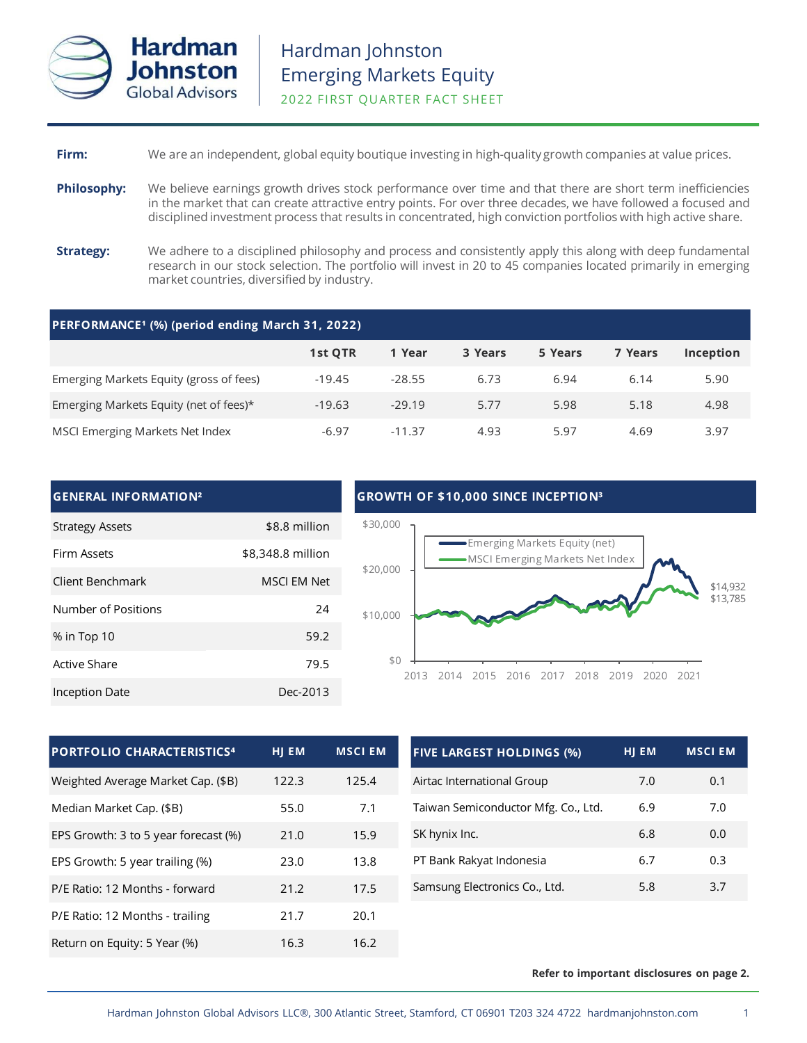

# **Firm:** We are an independent, global equity boutique investing in high-quality growth companies at value prices.

- **Philosophy:** We believe earnings growth drives stock performance over time and that there are short term inefficiencies in the market that can create attractive entry points. For over three decades, we have followed a focused and disciplined investment process that results in concentrated, high conviction portfolios with high active share.
- **Strategy:** We adhere to a disciplined philosophy and process and consistently apply this along with deep fundamental research in our stock selection. The portfolio will invest in 20 to 45 companies located primarily in emerging market countries, diversified by industry.

| PERFORMANCE <sup>1</sup> (%) (period ending March 31, 2022) |          |          |         |         |         |           |  |
|-------------------------------------------------------------|----------|----------|---------|---------|---------|-----------|--|
|                                                             | 1st QTR  | 1 Year   | 3 Years | 5 Years | 7 Years | Inception |  |
| Emerging Markets Equity (gross of fees)                     | $-19.45$ | $-28.55$ | 6.73    | 6.94    | 6.14    | 5.90      |  |
| Emerging Markets Equity (net of fees)*                      | $-19.63$ | $-29.19$ | 5.77    | 5.98    | 5.18    | 4.98      |  |
| MSCI Emerging Markets Net Index                             | $-6.97$  | $-11.37$ | 4.93    | 5.97    | 4.69    | 3.97      |  |

## **GENERAL INFORMATION²**

| <b>Strategy Assets</b> | \$8.8 million      |
|------------------------|--------------------|
| Firm Assets            | \$8,348.8 million  |
| Client Benchmark       | <b>MSCI EM Net</b> |
| Number of Positions    | 24                 |
| % in Top 10            | 59.2               |
| Active Share           | 79.5               |
| Inception Date         | Dec-2013           |

## **GROWTH OF \$10,000 SINCE INCEPTION³**



| <b>PORTFOLIO CHARACTERISTICS4</b>    | HJ EM | <b>MSCI EM</b> |
|--------------------------------------|-------|----------------|
| Weighted Average Market Cap. (\$B)   | 122.3 | 125.4          |
| Median Market Cap. (\$B)             | 55.0  | 7.1            |
| EPS Growth: 3 to 5 year forecast (%) | 21.0  | 15.9           |
| EPS Growth: 5 year trailing (%)      | 23.0  | 13.8           |
| P/E Ratio: 12 Months - forward       | 21.2  | 17.5           |
| P/E Ratio: 12 Months - trailing      | 21.7  | 20.1           |
| Return on Equity: 5 Year (%)         | 16.3  | 16.2           |

| <b>FIVE LARGEST HOLDINGS (%)</b>    | HI EM | <b>MSCI EM</b> |
|-------------------------------------|-------|----------------|
| Airtac International Group          | 7.0   | 0.1            |
| Taiwan Semiconductor Mfg. Co., Ltd. | 6.9   | 7.0            |
| SK hynix Inc.                       | 6.8   | 0.0            |
| PT Bank Rakyat Indonesia            | 6.7   | 0.3            |
| Samsung Electronics Co., Ltd.       | 5.8   | 3.7            |

### **Refer to important disclosures on page 2.**